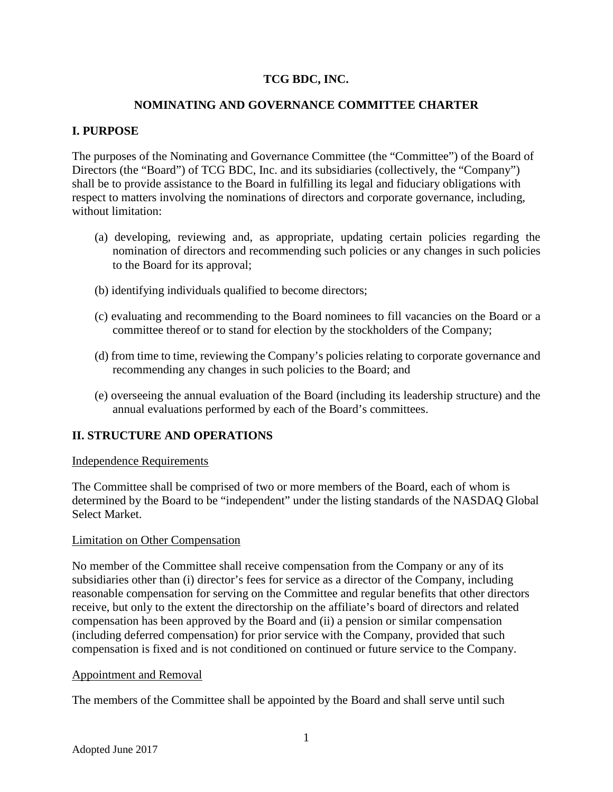# **TCG BDC, INC.**

### **NOMINATING AND GOVERNANCE COMMITTEE CHARTER**

## **I. PURPOSE**

The purposes of the Nominating and Governance Committee (the "Committee") of the Board of Directors (the "Board") of TCG BDC, Inc. and its subsidiaries (collectively, the "Company") shall be to provide assistance to the Board in fulfilling its legal and fiduciary obligations with respect to matters involving the nominations of directors and corporate governance, including, without limitation:

- (a) developing, reviewing and, as appropriate, updating certain policies regarding the nomination of directors and recommending such policies or any changes in such policies to the Board for its approval;
- (b) identifying individuals qualified to become directors;
- (c) evaluating and recommending to the Board nominees to fill vacancies on the Board or a committee thereof or to stand for election by the stockholders of the Company;
- (d) from time to time, reviewing the Company's policies relating to corporate governance and recommending any changes in such policies to the Board; and
- (e) overseeing the annual evaluation of the Board (including its leadership structure) and the annual evaluations performed by each of the Board's committees.

### **II. STRUCTURE AND OPERATIONS**

#### Independence Requirements

The Committee shall be comprised of two or more members of the Board, each of whom is determined by the Board to be "independent" under the listing standards of the NASDAQ Global Select Market.

### Limitation on Other Compensation

No member of the Committee shall receive compensation from the Company or any of its subsidiaries other than (i) director's fees for service as a director of the Company, including reasonable compensation for serving on the Committee and regular benefits that other directors receive, but only to the extent the directorship on the affiliate's board of directors and related compensation has been approved by the Board and (ii) a pension or similar compensation (including deferred compensation) for prior service with the Company, provided that such compensation is fixed and is not conditioned on continued or future service to the Company.

### Appointment and Removal

The members of the Committee shall be appointed by the Board and shall serve until such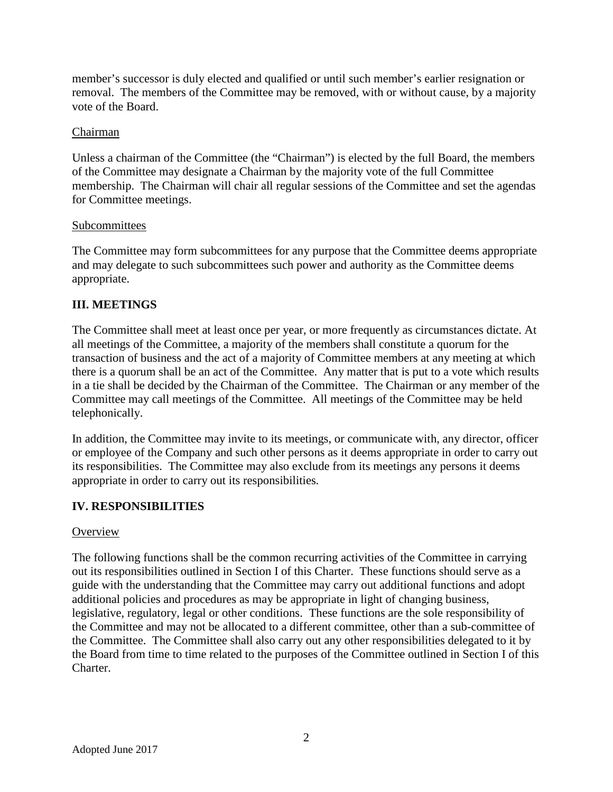member's successor is duly elected and qualified or until such member's earlier resignation or removal. The members of the Committee may be removed, with or without cause, by a majority vote of the Board.

### Chairman

Unless a chairman of the Committee (the "Chairman") is elected by the full Board, the members of the Committee may designate a Chairman by the majority vote of the full Committee membership. The Chairman will chair all regular sessions of the Committee and set the agendas for Committee meetings.

## Subcommittees

The Committee may form subcommittees for any purpose that the Committee deems appropriate and may delegate to such subcommittees such power and authority as the Committee deems appropriate.

# **III. MEETINGS**

The Committee shall meet at least once per year, or more frequently as circumstances dictate. At all meetings of the Committee, a majority of the members shall constitute a quorum for the transaction of business and the act of a majority of Committee members at any meeting at which there is a quorum shall be an act of the Committee. Any matter that is put to a vote which results in a tie shall be decided by the Chairman of the Committee. The Chairman or any member of the Committee may call meetings of the Committee. All meetings of the Committee may be held telephonically.

In addition, the Committee may invite to its meetings, or communicate with, any director, officer or employee of the Company and such other persons as it deems appropriate in order to carry out its responsibilities. The Committee may also exclude from its meetings any persons it deems appropriate in order to carry out its responsibilities.

# **IV. RESPONSIBILITIES**

# **Overview**

The following functions shall be the common recurring activities of the Committee in carrying out its responsibilities outlined in Section I of this Charter. These functions should serve as a guide with the understanding that the Committee may carry out additional functions and adopt additional policies and procedures as may be appropriate in light of changing business, legislative, regulatory, legal or other conditions. These functions are the sole responsibility of the Committee and may not be allocated to a different committee, other than a sub-committee of the Committee. The Committee shall also carry out any other responsibilities delegated to it by the Board from time to time related to the purposes of the Committee outlined in Section I of this Charter.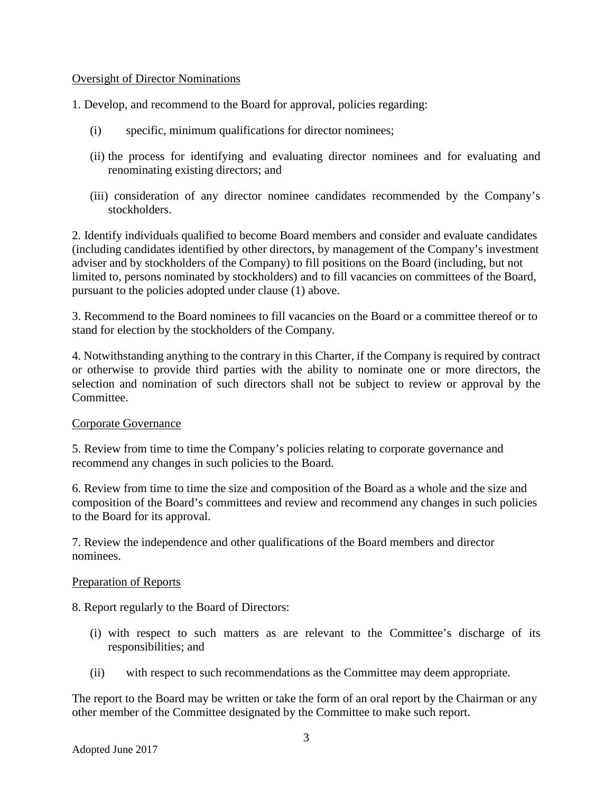### Oversight of Director Nominations

1. Develop, and recommend to the Board for approval, policies regarding:

- (i) specific, minimum qualifications for director nominees;
- (ii) the process for identifying and evaluating director nominees and for evaluating and renominating existing directors; and
- (iii) consideration of any director nominee candidates recommended by the Company's stockholders.

2. Identify individuals qualified to become Board members and consider and evaluate candidates (including candidates identified by other directors, by management of the Company's investment adviser and by stockholders of the Company) to fill positions on the Board (including, but not limited to, persons nominated by stockholders) and to fill vacancies on committees of the Board, pursuant to the policies adopted under clause (1) above.

3. Recommend to the Board nominees to fill vacancies on the Board or a committee thereof or to stand for election by the stockholders of the Company.

4. Notwithstanding anything to the contrary in this Charter, if the Company is required by contract or otherwise to provide third parties with the ability to nominate one or more directors, the selection and nomination of such directors shall not be subject to review or approval by the Committee.

### Corporate Governance

5. Review from time to time the Company's policies relating to corporate governance and recommend any changes in such policies to the Board.

6. Review from time to time the size and composition of the Board as a whole and the size and composition of the Board's committees and review and recommend any changes in such policies to the Board for its approval.

7. Review the independence and other qualifications of the Board members and director nominees.

#### Preparation of Reports

8. Report regularly to the Board of Directors:

- (i) with respect to such matters as are relevant to the Committee's discharge of its responsibilities; and
- (ii) with respect to such recommendations as the Committee may deem appropriate.

The report to the Board may be written or take the form of an oral report by the Chairman or any other member of the Committee designated by the Committee to make such report.